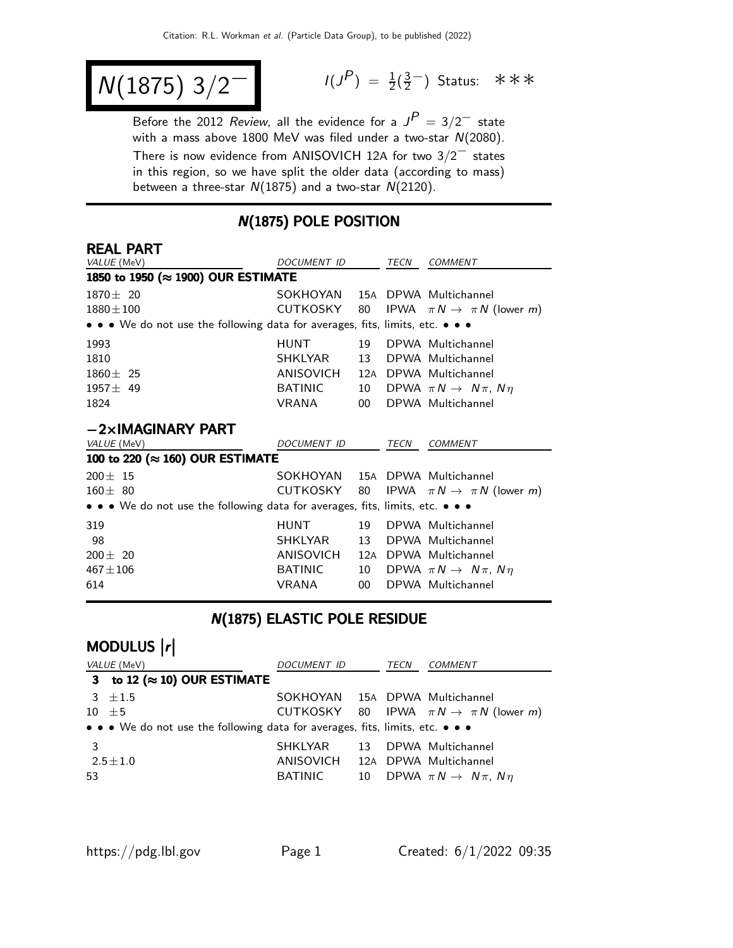$$
N(1875) 3/2^-
$$

$$
I(J^{P}) = \frac{1}{2}(\frac{3}{2}^{-})
$$
 Status:  $\ast \ast \ast$ 

Before the 2012 Review, all the evidence for a  $J^P = 3/2^-$  state with a mass above 1800 MeV was filed under a two-star  $N(2080)$ . There is now evidence from ANISOVICH 12<sup>A</sup> for two 3/2<sup>−</sup> states in this region, so we have split the older data (according to mass) between a three-star  $N(1875)$  and a two-star  $N(2120)$ .

### N(1875) POLE POSITION

### REAL PART

| VALUE (MeV)                                                                   | DOCUMENT ID                    |                 | TECN | COMMENT                                          |
|-------------------------------------------------------------------------------|--------------------------------|-----------------|------|--------------------------------------------------|
| 1850 to 1950 (≈ 1900) OUR ESTIMATE                                            |                                |                 |      |                                                  |
| $1870 \pm 20$                                                                 | SOKHOYAN 15A DPWA Multichannel |                 |      |                                                  |
| $1880 \pm 100$                                                                | CUTKOSKY                       | 80              |      | IPWA $\pi N \rightarrow \pi N$ (lower <i>m</i> ) |
| • • • We do not use the following data for averages, fits, limits, etc. • • • |                                |                 |      |                                                  |
| 1993                                                                          | <b>HUNT</b>                    | 19              |      | DPWA Multichannel                                |
| 1810                                                                          | SHKLYAR                        | 13              |      | DPWA Multichannel                                |
| $1860 + 25$                                                                   | ANISOVICH                      |                 |      | 12A DPWA Multichannel                            |
| $1957 \pm 49$                                                                 | <b>BATINIC</b>                 | 10              |      | DPWA $\pi N \rightarrow N \pi$ , $N \eta$        |
| 1824                                                                          | VRANA                          | 00 <sup>1</sup> |      | DPWA Multichannel                                |
| $-2\times$ IMAGINARY PART                                                     |                                |                 |      |                                                  |
| <i>VALUE</i> (MeV)                                                            | DOCUMENT ID                    |                 | TECN | <b>COMMENT</b>                                   |
| 100 to 220 (≈ 160) OUR ESTIMATE                                               |                                |                 |      |                                                  |
| $200 \pm 15$                                                                  | SOKHOYAN                       |                 |      | 15A DPWA Multichannel                            |
| $160 \pm 80$                                                                  | CUTKOSKY                       | 80              |      | IPWA $\pi N \rightarrow \pi N$ (lower <i>m</i> ) |
| • • • We do not use the following data for averages, fits, limits, etc. • • • |                                |                 |      |                                                  |
| 319                                                                           | <b>HUNT</b>                    | 19              |      | DPWA Multichannel                                |
| 98                                                                            | SHKLYAR                        | 13              |      | DPWA Multichannel                                |
| $200 \pm 20$                                                                  | ANISOVICH                      |                 |      | 12A DPWA Multichannel                            |
| $467 \pm 106$                                                                 | <b>BATINIC</b>                 | 10              |      | DPWA $\pi N \rightarrow N \pi$ , $N \eta$        |
| 614                                                                           | VRANA                          | 00 <sup>1</sup> |      | DPWA Multichannel                                |

#### N(1875) ELASTIC POLE RESIDUE

# modulus  $\vert r \vert$

|    | VALUE (MeV)                                                                   | <i>DOCUMENT ID</i>              | TECN | COMMENT                                              |
|----|-------------------------------------------------------------------------------|---------------------------------|------|------------------------------------------------------|
|    | 3 to 12 ( $\approx$ 10) OUR ESTIMATE                                          |                                 |      |                                                      |
|    | $3 \pm 1.5$                                                                   | SOKHOYAN 15A DPWA Multichannel  |      |                                                      |
|    | $10 \pm 5$                                                                    |                                 |      | CUTKOSKY 80 IPWA $\pi N \rightarrow \pi N$ (lower m) |
|    | • • • We do not use the following data for averages, fits, limits, etc. • • • |                                 |      |                                                      |
| 3  |                                                                               | SHKLYAR                         |      | 13 DPWA Multichannel                                 |
|    | $2.5\!\pm\!1.0$                                                               | ANISOVICH 12A DPWA Multichannel |      |                                                      |
| 53 |                                                                               | BATINIC                         |      | 10 DPWA $\pi N \rightarrow N \pi$ , $N \eta$         |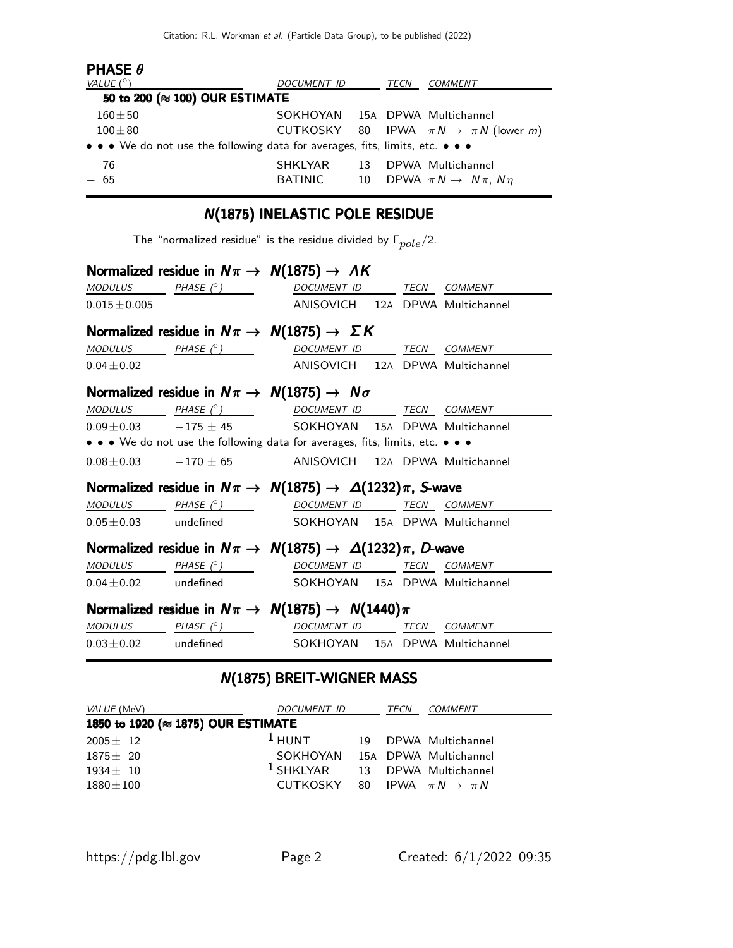| <b>PHASE <math>\theta</math></b>                                              |                                |    |      |                                                      |
|-------------------------------------------------------------------------------|--------------------------------|----|------|------------------------------------------------------|
| VALUE $(^\circ)$                                                              | <i>DOCUMENT ID</i>             |    | TECN | COMMENT                                              |
| 50 to 200 ( $\approx$ 100) OUR ESTIMATE                                       |                                |    |      |                                                      |
| $160 + 50$                                                                    | SOKHOYAN 15A DPWA Multichannel |    |      |                                                      |
| $100 + 80$                                                                    |                                |    |      | CUTKOSKY 80 IPWA $\pi N \rightarrow \pi N$ (lower m) |
| • • • We do not use the following data for averages, fits, limits, etc. • • • |                                |    |      |                                                      |
| $-76$                                                                         | <b>SHKLYAR</b>                 | 13 |      | DPWA Multichannel                                    |
| $-65$                                                                         | BATINIC                        | 10 |      | DPWA $\pi N \rightarrow N \pi$ , $N \eta$            |

### N(1875) INELASTIC POLE RESIDUE

The "normalized residue" is the residue divided by  $\Gamma_{pole}/2$ .

|                 | Normalized residue in $N\pi \rightarrow N(1875) \rightarrow AK$               |                                 |  |  |
|-----------------|-------------------------------------------------------------------------------|---------------------------------|--|--|
| <b>MODULUS</b>  | PHASE (° ) DOCUMENT ID TECN COMMENT                                           |                                 |  |  |
| $0.015 + 0.005$ |                                                                               | ANISOVICH 12A DPWA Multichannel |  |  |
|                 | Normalized residue in $N\pi \rightarrow N(1875) \rightarrow \Sigma K$         |                                 |  |  |
|                 | $MODULUS$ $PHASE (°)$                                                         | DOCUMENT ID TECN COMMENT        |  |  |
| $0.04 \pm 0.02$ |                                                                               | ANISOVICH 12A DPWA Multichannel |  |  |
|                 | Normalized residue in $N\pi \rightarrow N(1875) \rightarrow N\sigma$          |                                 |  |  |
|                 | MODULUS PHASE (° )                                                            | DOCUMENT ID TECN COMMENT        |  |  |
|                 | $0.09 \pm 0.03$ -175 $\pm$ 45 SOKHOYAN 15A DPWA Multichannel                  |                                 |  |  |
|                 | • • • We do not use the following data for averages, fits, limits, etc. • • • |                                 |  |  |
|                 | $0.08 \pm 0.03$ -170 $\pm$ 65 ANISOVICH 12A DPWA Multichannel                 |                                 |  |  |
|                 | Normalized residue in $N\pi \to N(1875) \to \Delta(1232)\pi$ , S-wave         |                                 |  |  |
|                 | $MODULUS$ PHASE $(^\circ)$                                                    | DOCUMENT ID TECN COMMENT        |  |  |
|                 | 0.05±0.03 undefined SOKHOYAN 15A DPWA Multichannel                            |                                 |  |  |
|                 | Normalized residue in $N\pi \to N(1875) \to \Delta(1232)\pi$ , D-wave         |                                 |  |  |
|                 | $MODULUS$ $PHASE (°)$                                                         | DOCUMENT ID TECN COMMENT        |  |  |
|                 | $0.04 \pm 0.02$ undefined SOKHOYAN 15A DPWA Multichannel                      |                                 |  |  |
|                 | Normalized residue in $N\pi \rightarrow N(1875) \rightarrow N(1440)\pi$       |                                 |  |  |
|                 | $MODULUS$ PHASE $(^{\circ})$                                                  | DOCUMENT ID TECN COMMENT        |  |  |
|                 | $0.03 \pm 0.02$ undefined SOKHOYAN 15A DPWA Multichannel                      |                                 |  |  |

### N(1875) BREIT-WIGNER MASS

| VALUE (MeV)                        | DOCUMENT ID                                |  | TECN | COMMENT              |  |  |
|------------------------------------|--------------------------------------------|--|------|----------------------|--|--|
| 1850 to 1920 (≈ 1875) OUR ESTIMATE |                                            |  |      |                      |  |  |
| $2005 \pm 12$                      | $1$ HUNT                                   |  |      | 19 DPWA Multichannel |  |  |
| $1875 + 20$                        | SOKHOYAN 15A DPWA Multichannel             |  |      |                      |  |  |
| $1934 + 10$                        | <sup>1</sup> SHKLYAR 13 DPWA Multichannel  |  |      |                      |  |  |
| $1880 \pm 100$                     | CUTKOSKY 80 IPWA $\pi N \rightarrow \pi N$ |  |      |                      |  |  |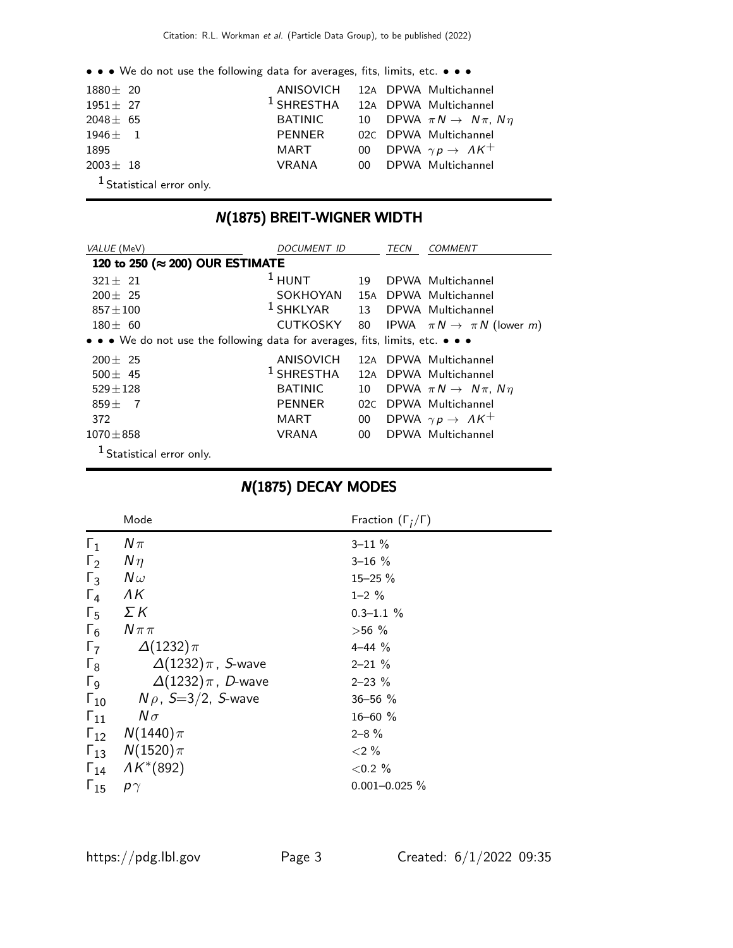• • • We do not use the following data for averages, fits, limits, etc. • • •

| $1880 \pm 20$                        |              | ANISOVICH 12A DPWA Multichannel              |
|--------------------------------------|--------------|----------------------------------------------|
| $1951 + 27$                          |              | <sup>1</sup> SHRESTHA 12A DPWA Multichannel  |
| $2048 \pm 65$                        | BATINIC      | 10 DPWA $\pi N \rightarrow N \pi$ , $N \eta$ |
| $1946 + 1$                           | PENNER       | 02C DPWA Multichannel                        |
| 1895                                 | MART         | 00 DPWA $\gamma p \rightarrow AK^+$          |
| $2003 \pm 18$                        | <b>VRANA</b> | 00 DPWA Multichannel                         |
| <sup>1</sup> Statistical error only. |              |                                              |

### N(1875) BREIT-WIGNER WIDTH

| VALUE (MeV)                                                                   | <i>DOCUMENT ID</i> |                 | TECN | <i>COMMENT</i>                                   |
|-------------------------------------------------------------------------------|--------------------|-----------------|------|--------------------------------------------------|
| 120 to 250 (≈ 200) OUR ESTIMATE                                               |                    |                 |      |                                                  |
| $321 + 21$                                                                    | $1$ HUNT           | 19              |      | DPWA Multichannel                                |
| $200 \pm 25$                                                                  | SOKHOYAN           |                 |      | 15A DPWA Multichannel                            |
| $857 + 100$                                                                   | $1$ SHKLYAR        | 13              |      | DPWA Multichannel                                |
| $180 \pm 60$                                                                  | <b>CUTKOSKY</b>    | 80              |      | IPWA $\pi N \rightarrow \pi N$ (lower <i>m</i> ) |
| • • • We do not use the following data for averages, fits, limits, etc. • • • |                    |                 |      |                                                  |
| $200 \pm 25$                                                                  | ANISOVICH          |                 |      | 12A DPWA Multichannel                            |
| $500 \pm 45$                                                                  | $1$ SHRESTHA       | 12A             |      | DPWA Multichannel                                |
| $529 \pm 128$                                                                 | <b>BATINIC</b>     | 10              |      | DPWA $\pi N \rightarrow N \pi$ , $N \eta$        |
| $859 + 7$                                                                     | <b>PENNER</b>      | 02C             |      | DPWA Multichannel                                |
| 372                                                                           | MART               | 00 <sup>°</sup> |      | DPWA $\gamma p \rightarrow AK^+$                 |
| $1070 \pm 858$                                                                | <b>VRANA</b>       | 00 <sup>°</sup> |      | DPWA Multichannel                                |
| <sup>1</sup> Statistical error only.                                          |                    |                 |      |                                                  |

### N(1875) DECAY MODES

|                       | Mode                         | Fraction $(\Gamma_i/\Gamma)$ |
|-----------------------|------------------------------|------------------------------|
| $\Gamma_1$            | $N\pi$                       | $3 - 11 \%$                  |
| $\Gamma_2$            | $N\eta$                      | $3 - 16%$                    |
| $\Gamma_3$            | $N\omega$                    | $15 - 25 \%$                 |
| $\Gamma_4$            | ΛK                           | $1 - 2 \%$                   |
| $\Gamma_5$            | ΣΚ                           | $0.3 - 1.1 %$                |
| $\Gamma_6$            | $N \pi \pi$                  | $>56\%$                      |
| $\Gamma_7$            | $\Delta(1232)\pi$            | $4 - 44$ %                   |
| $\Gamma_8$            | $\Delta(1232)\pi$ , S-wave   | $2 - 21 \%$                  |
| $\Gamma$ <sub>9</sub> | $\Delta(1232)\pi$ , D-wave   | $2 - 23 \%$                  |
| $\Gamma_{10}$         | $N \rho$ , S $=$ 3/2, S-wave | $36 - 56$ %                  |
| $\Gamma_{11}$         | $N\sigma$                    | $16 - 60$ %                  |
| $\Gamma_{12}$         | $N(1440)\pi$                 | $2 - 8 \%$                   |
|                       | $\Gamma_{13}$ $N(1520)\pi$   | ${<}2\%$                     |
| $\Gamma_{14}$         | $AK^*(892)$                  | ${<}0.2%$                    |
| $\Gamma_{15}$         | $\rho\gamma$                 | $0.001 - 0.025 \%$           |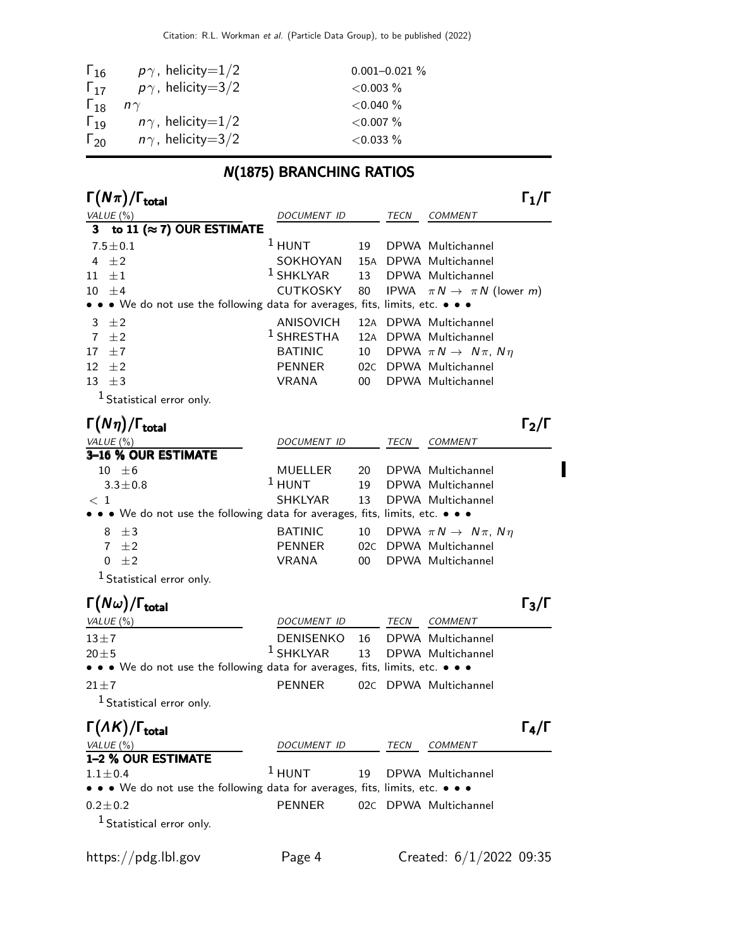| $\Gamma_{16}$ | $p\gamma$ , helicity=1/2    | $0.001 - 0.021 \%$ |
|---------------|-----------------------------|--------------------|
| $\Gamma_{17}$ | $p\gamma$ , helicity=3/2    | $<$ 0.003 $\%$     |
| $\Gamma_{18}$ | $n\gamma$                   | $<$ 0.040 $\%$     |
| $\Gamma_{19}$ | $n\gamma$ , helicity $=1/2$ | $<$ 0.007 $\%$     |
| $\Gamma_{20}$ | $n\gamma$ , helicity=3/2    | $<$ 0.033 $\%$     |

# N(1875) BRANCHING RATIOS

| $\Gamma(N\pi)/\Gamma_{\rm total}$                                             |                  |        |      |                                                  | $\Gamma_1/\Gamma$                   |
|-------------------------------------------------------------------------------|------------------|--------|------|--------------------------------------------------|-------------------------------------|
| <i>VALUE</i> (%)                                                              | DOCUMENT ID      |        | TECN | <b>COMMENT</b>                                   |                                     |
| to 11 ( $\approx$ 7) OUR ESTIMATE                                             |                  |        |      |                                                  |                                     |
| $7.5 \pm 0.1$                                                                 | $1$ HUNT         | 19     |      | DPWA Multichannel                                |                                     |
| ±2<br>4                                                                       | SOKHOYAN         |        |      | 15A DPWA Multichannel                            |                                     |
| $\pm 1$<br>11                                                                 | $1$ SHKLYAR      | 13     |      | DPWA Multichannel                                |                                     |
| $10 \pm 4$                                                                    | <b>CUTKOSKY</b>  | 80     |      | IPWA $\pi N \rightarrow \pi N$ (lower <i>m</i> ) |                                     |
| • • We do not use the following data for averages, fits, limits, etc. • • •   |                  |        |      |                                                  |                                     |
| ±2<br>3                                                                       | ANISOVICH        | 12A    |      | DPWA Multichannel                                |                                     |
| 7<br>±2                                                                       | $1$ SHRESTHA     |        |      | 12A DPWA Multichannel                            |                                     |
| ±7<br>17                                                                      | <b>BATINIC</b>   | 10     |      | DPWA $\pi N \rightarrow N \pi$ , $N \eta$        |                                     |
| 12<br>±2                                                                      | <b>PENNER</b>    |        |      | 02C DPWA Multichannel                            |                                     |
| 13<br>$\pm$ 3                                                                 | <b>VRANA</b>     | 00     |      | DPWA Multichannel                                |                                     |
| $1$ Statistical error only.                                                   |                  |        |      |                                                  |                                     |
| $\Gamma(N\eta)/\Gamma_{\rm total}$                                            |                  |        |      |                                                  | $\mathsf{\Gamma_2}/\mathsf{\Gamma}$ |
| VALUE $(\%)$                                                                  | DOCUMENT ID      |        | TECN | <b>COMMENT</b>                                   |                                     |
| 3-16 % OUR ESTIMATE                                                           |                  |        |      |                                                  |                                     |
| $10 \pm 6$                                                                    | MUELLER          | 20     |      | DPWA Multichannel                                |                                     |
| $3.3 \pm 0.8$                                                                 | $1$ HUNT         | 19     |      | DPWA Multichannel                                |                                     |
| $<\,1$                                                                        | <b>SHKLYAR</b>   | 13     |      | DPWA Multichannel                                |                                     |
| • We do not use the following data for averages, fits, limits, etc. • • •     |                  |        |      |                                                  |                                     |
| $\pm$ 3<br>8                                                                  | <b>BATINIC</b>   | 10     |      | DPWA $\pi N \rightarrow N \pi$ , $N \eta$        |                                     |
| 7 $\pm 2$                                                                     | <b>PENNER</b>    |        |      | 02C DPWA Multichannel                            |                                     |
| $\pm 2$<br>$\Omega$                                                           | <b>VRANA</b>     | $00\,$ |      | DPWA Multichannel                                |                                     |
| <sup>1</sup> Statistical error only.                                          |                  |        |      |                                                  |                                     |
| $\Gamma(N\omega)/\Gamma_{\rm total}$                                          |                  |        |      |                                                  | $\Gamma_3/\Gamma$                   |
| VALUE (%)                                                                     | DOCUMENT ID      |        | TECN | <b>COMMENT</b>                                   |                                     |
| $13 \pm 7$                                                                    | <b>DENISENKO</b> | 16     |      | DPWA Multichannel                                |                                     |
| $20 + 5$                                                                      | $1$ SHKLYAR      | 13     |      | DPWA Multichannel                                |                                     |
| • • • We do not use the following data for averages, fits, limits, etc. • • • |                  |        |      |                                                  |                                     |
| $21 + 7$                                                                      | <b>PENNER</b>    |        |      | 02C DPWA Multichannel                            |                                     |
| <sup>1</sup> Statistical error only.                                          |                  |        |      |                                                  |                                     |
| $\Gamma(AK)/\Gamma_{\text{total}}$                                            |                  |        |      |                                                  | $\Gamma_4/\Gamma$                   |
|                                                                               |                  |        |      |                                                  |                                     |
| VALUE $(\%)$<br>1-2 % OUR ESTIMATE                                            | DOCUMENT ID      |        | TECN | <b>COMMENT</b>                                   |                                     |
| $1.1 \pm 0.4$                                                                 | $1$ HUNT         | 19     |      | DPWA Multichannel                                |                                     |
| • • We do not use the following data for averages, fits, limits, etc. • • •   |                  |        |      |                                                  |                                     |
| $0.2 \pm 0.2$                                                                 | <b>PENNER</b>    |        |      | 02C DPWA Multichannel                            |                                     |
| <sup>1</sup> Statistical error only.                                          |                  |        |      |                                                  |                                     |
|                                                                               |                  |        |      |                                                  |                                     |
| https://pdg.lbl.gov                                                           | Page 4           |        |      | Created: $6/1/2022$ 09:35                        |                                     |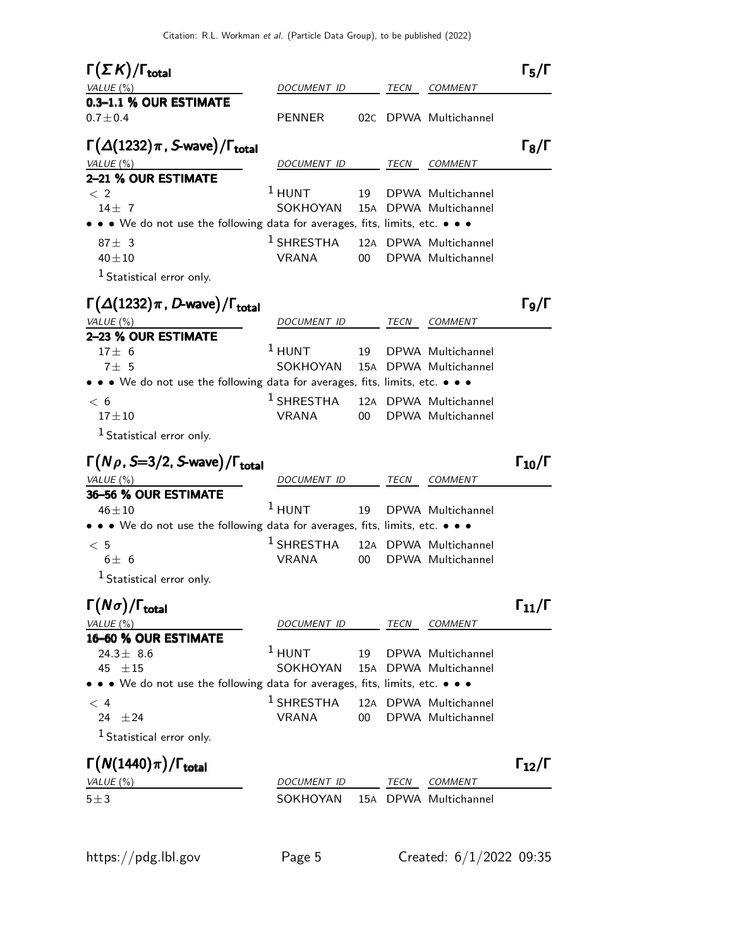| $\Gamma(\Sigma K)/\Gamma_{\rm total}$                                         |                    |        |      |                       | $\Gamma_5/\Gamma$    |
|-------------------------------------------------------------------------------|--------------------|--------|------|-----------------------|----------------------|
| VALUE(%)                                                                      | DOCUMENT ID        |        | TECN | COMMENT               |                      |
| 0.3-1.1 % OUR ESTIMATE                                                        |                    |        |      |                       |                      |
| $0.7 \pm 0.4$                                                                 | <b>PENNER</b>      | 02C    |      | DPWA Multichannel     |                      |
| $\Gamma(\Delta(1232)\pi$ , S-wave)/ $\Gamma_{\text{total}}$                   |                    |        |      |                       | $\Gamma_8/\Gamma$    |
| VALUE (%)                                                                     | <i>DOCUMENT ID</i> |        | TECN | <i>COMMENT</i>        |                      |
| 2-21 % OUR ESTIMATE                                                           |                    |        |      |                       |                      |
| $\langle$ 2                                                                   | $1$ HUNT           | 19     |      | DPWA Multichannel     |                      |
| $14 \pm 7$                                                                    | SOKHOYAN           |        |      | 15A DPWA Multichannel |                      |
| • • We do not use the following data for averages, fits, limits, etc. • • •   |                    |        |      |                       |                      |
| $87 \pm 3$                                                                    | $^1$ SHRESTHA      |        |      | 12A DPWA Multichannel |                      |
| $40 + 10$                                                                     | <b>VRANA</b>       | $00-1$ |      | DPWA Multichannel     |                      |
| <sup>1</sup> Statistical error only.                                          |                    |        |      |                       |                      |
| $\Gamma(\Delta(1232)\pi$ , D-wave)/ $\Gamma_{\rm total}$                      |                    |        |      |                       | $\Gamma_{9}/\Gamma$  |
| VALUE (%)                                                                     | <i>DOCUMENT ID</i> |        | TECN | <b>COMMENT</b>        |                      |
| 2-23 % OUR ESTIMATE                                                           |                    |        |      |                       |                      |
| $17 \pm 6$                                                                    | $1$ HUNT           | 19     |      | DPWA Multichannel     |                      |
| 7±5                                                                           | SOKHOYAN           |        |      | 15A DPWA Multichannel |                      |
| • • • We do not use the following data for averages, fits, limits, etc. • • • |                    |        |      |                       |                      |
| < 6                                                                           | $^1$ SHRESTHA      |        |      | 12A DPWA Multichannel |                      |
| $17 + 10$                                                                     | <b>VRANA</b>       | 00     |      | DPWA Multichannel     |                      |
| <sup>1</sup> Statistical error only.                                          |                    |        |      |                       |                      |
| $\Gamma(N\rho, S=3/2, S$ -wave)/ $\Gamma_{\text{total}}$                      |                    |        |      |                       | $\Gamma_{10}/\Gamma$ |
| VALUE $(\%)$                                                                  | <i>DOCUMENT ID</i> |        | TECN | <b>COMMENT</b>        |                      |
| 36-56 % OUR ESTIMATE                                                          |                    |        |      |                       |                      |
| $46 + 10$                                                                     | $1$ HUNT           | 19     |      | DPWA Multichannel     |                      |
| • • • We do not use the following data for averages, fits, limits, etc. • • • |                    |        |      |                       |                      |
| < 5                                                                           | $1$ SHRESTHA       |        |      | 12A DPWA Multichannel |                      |
| $6\pm 6$                                                                      | <b>VRANA</b>       | 00     |      | DPWA Multichannel     |                      |
| $1$ Statistical error only.                                                   |                    |        |      |                       |                      |
|                                                                               |                    |        |      |                       |                      |
| $\Gamma(N\sigma)/\Gamma_{\rm total}$                                          |                    |        |      |                       | $\Gamma_{11}/\Gamma$ |
| VALUE $(\%)$                                                                  | DOCUMENT ID        |        | TECN | <b>COMMENT</b>        |                      |
| 16-60 % OUR ESTIMATE                                                          |                    |        |      |                       |                      |
| 24.3 $\pm$ 8.6                                                                |                    |        |      |                       |                      |
|                                                                               | $1$ HUNT           | 19     |      | DPWA Multichannel     |                      |
| 45 $\pm 15$                                                                   | SOKHOYAN           | 15A    |      | DPWA Multichannel     |                      |
| • • • We do not use the following data for averages, fits, limits, etc. • • • |                    |        |      |                       |                      |
| < 4                                                                           | $1$ SHRESTHA       |        |      | 12A DPWA Multichannel |                      |
| ±24<br>24                                                                     | VRANA              | 00     |      | DPWA Multichannel     |                      |
| $1$ Statistical error only.                                                   |                    |        |      |                       |                      |
|                                                                               |                    |        |      |                       | $\Gamma_{12}/\Gamma$ |
| $\Gamma(N(1440)\pi)/\Gamma_{\rm total}$<br>VALUE (%)                          | DOCUMENT ID        |        | TECN | <i>COMMENT</i>        |                      |
| $5 + 3$                                                                       | SOKHOYAN           | 15A    |      | DPWA Multichannel     |                      |
|                                                                               |                    |        |      |                       |                      |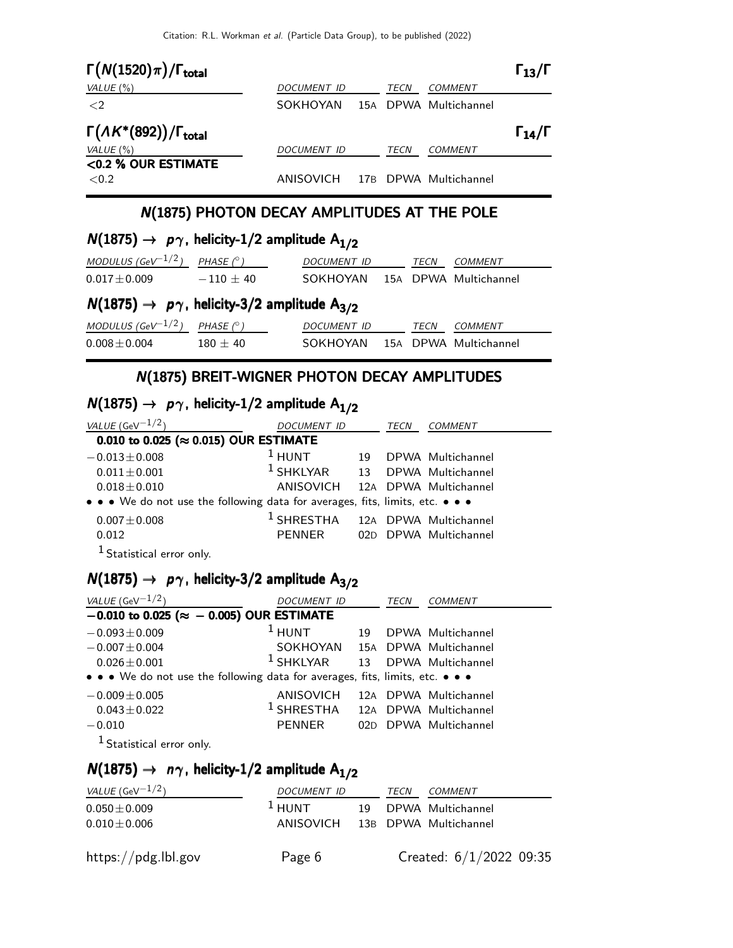| $\Gamma(N(1520)\pi)/\Gamma_{\text{total}}$       |                    |      |                       | $\Gamma_{13}/\Gamma$ |
|--------------------------------------------------|--------------------|------|-----------------------|----------------------|
| VALUE $(\% )$                                    | <b>DOCUMENT ID</b> | TECN | <b>COMMENT</b>        |                      |
| $\langle 2$                                      | SOKHOYAN           |      | 15A DPWA Multichannel |                      |
| $\Gamma(\Lambda K^*(892))/\Gamma_{\text{total}}$ |                    |      |                       | $\Gamma_{14}/\Gamma$ |
| VALUE $(\% )$                                    | <b>DOCUMENT ID</b> | TECN | COMMENT               |                      |
| <0.2 % OUR ESTIMATE                              |                    |      |                       |                      |
| <0.2                                             | ANISOVICH          |      | 17B DPWA Multichannel |                      |

### N(1875) PHOTON DECAY AMPLITUDES AT THE POLE

# $N(1875) \rightarrow p\gamma$ , helicity-1/2 amplitude  $A_{1/2}$

| MODULUS (GeV <sup>-1/2</sup> )                                          | PHASE $(^\circ)$ | DOCUMENT ID        |  | TECN | COMMENT               |  |
|-------------------------------------------------------------------------|------------------|--------------------|--|------|-----------------------|--|
| $0.017 \pm 0.009$                                                       | $-110 \pm 40$    | SOKHOYAN           |  |      | 15A DPWA Multichannel |  |
| $N(1875) \rightarrow p\gamma$ , helicity-3/2 amplitude A <sub>3/2</sub> |                  |                    |  |      |                       |  |
| MODULUS (GeV <sup>-1/2</sup> )                                          | PHASE $(^\circ)$ | <b>DOCUMENT ID</b> |  | TECN | COMMENT               |  |
| $0.008 \pm 0.004$                                                       | $180 \pm 40$     | SOKHOYAN           |  |      | 15A DPWA Multichannel |  |

### N(1875) BREIT-WIGNER PHOTON DECAY AMPLITUDES

# $N(1875) \rightarrow p\gamma$ , helicity-1/2 amplitude  $A_{1/2}$

| <i>VALUE</i> (GeV $-1/2$ )                                                    | <i>DOCUMENT ID</i>                          |    | TECN | <b>COMMENT</b>        |  |  |
|-------------------------------------------------------------------------------|---------------------------------------------|----|------|-----------------------|--|--|
| 0.010 to 0.025 ( $\approx$ 0.015) OUR ESTIMATE                                |                                             |    |      |                       |  |  |
| $-0.013 \pm 0.008$                                                            | $1$ HUNT                                    | 19 |      | DPWA Multichannel     |  |  |
| $0.011 \pm 0.001$                                                             | <sup>1</sup> SHKLYAR 13 DPWA Multichannel   |    |      |                       |  |  |
| $0.018 \pm 0.010$                                                             | ANISOVICH 12A DPWA Multichannel             |    |      |                       |  |  |
| • • • We do not use the following data for averages, fits, limits, etc. • • • |                                             |    |      |                       |  |  |
| $0.007 \pm 0.008$                                                             | <sup>1</sup> SHRESTHA 12A DPWA Multichannel |    |      |                       |  |  |
| 0.012                                                                         | PENNER                                      |    |      | 02D DPWA Multichannel |  |  |
| <sup>1</sup> Statistical error only.                                          |                                             |    |      |                       |  |  |

# $N(1875) \rightarrow p\gamma$ , helicity-3/2 amplitude A<sub>3/2</sub>

| VALUE (GeV $-1/2$ )                                                           | DOCUMENT ID                                 |    | TECN | <b>COMMENT</b>        |  |  |
|-------------------------------------------------------------------------------|---------------------------------------------|----|------|-----------------------|--|--|
| $-0.010$ to 0.025 ( $\approx -0.005$ ) OUR ESTIMATE                           |                                             |    |      |                       |  |  |
| $-0.093 \pm 0.009$                                                            | $1$ HUNT                                    | 19 |      | DPWA Multichannel     |  |  |
| $-0.007 \pm 0.004$                                                            | SOKHOYAN                                    |    |      | 15A DPWA Multichannel |  |  |
| $0.026 \pm 0.001$                                                             | $^1$ SHKLYAR                                | 13 |      | DPWA Multichannel     |  |  |
| • • • We do not use the following data for averages, fits, limits, etc. • • • |                                             |    |      |                       |  |  |
| $-0.009 \pm 0.005$                                                            | ANISOVICH                                   |    |      | 12A DPWA Multichannel |  |  |
| $0.043 \pm 0.022$                                                             | <sup>1</sup> SHRESTHA 12A DPWA Multichannel |    |      |                       |  |  |
| $-0.010$                                                                      | <b>PENNER</b>                               |    |      | 02D DPWA Multichannel |  |  |
| <sup>1</sup> Statistical error only.                                          |                                             |    |      |                       |  |  |

# $N(1875) \rightarrow n\gamma$ , helicity-1/2 amplitude A<sub>1/2</sub>

| <i>VALUE</i> (GeV $^{-1/2}$ ) | DOCUMENT ID                     | TECN | <i>COMMENT</i>            |
|-------------------------------|---------------------------------|------|---------------------------|
| $0.050 \pm 0.009$             | $1$ HUNT                        |      | 19 DPWA Multichannel      |
| $0.010 \pm 0.006$             | ANISOVICH 13B DPWA Multichannel |      |                           |
| https://pdg.lbl.gov           | Page 6                          |      | Created: $6/1/2022$ 09:35 |